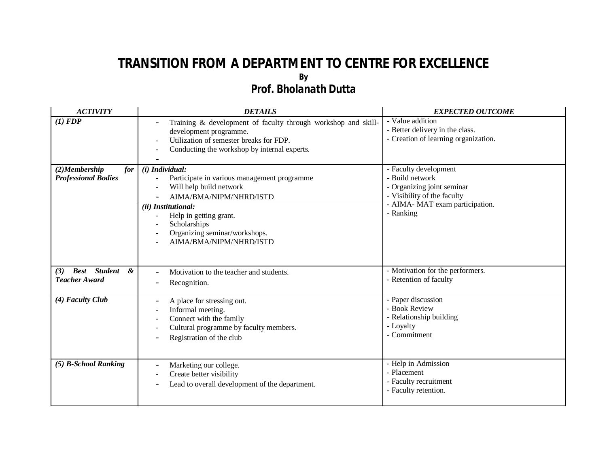## **TRANSITION FROM A DEPARTMENT TO CENTRE FOR EXCELLENCE By** *Prof. Bholanath Dutta*

| <b>ACTIVITY</b>                                         | <b>DETAILS</b>                                                                                                                                                                                                                                                      | <b>EXPECTED OUTCOME</b>                                                                                                                               |
|---------------------------------------------------------|---------------------------------------------------------------------------------------------------------------------------------------------------------------------------------------------------------------------------------------------------------------------|-------------------------------------------------------------------------------------------------------------------------------------------------------|
| (1) FDP                                                 | Training & development of faculty through workshop and skill-<br>development programme.<br>Utilization of semester breaks for FDP.<br>Conducting the workshop by internal experts.                                                                                  | - Value addition<br>- Better delivery in the class.<br>- Creation of learning organization.                                                           |
| $(2)$ Membership<br>for<br><b>Professional Bodies</b>   | (i) Individual:<br>Participate in various management programme<br>Will help build network<br>AIMA/BMA/NIPM/NHRD/ISTD<br>(ii) Institutional:<br>Help in getting grant.<br>$\blacksquare$<br>Scholarships<br>Organizing seminar/workshops.<br>AIMA/BMA/NIPM/NHRD/ISTD | - Faculty development<br>- Build network<br>- Organizing joint seminar<br>- Visibility of the faculty<br>- AIMA- MAT exam participation.<br>- Ranking |
| <b>Best</b> Student<br>&<br>(3)<br><b>Teacher Award</b> | Motivation to the teacher and students.<br>Recognition.                                                                                                                                                                                                             | - Motivation for the performers.<br>- Retention of faculty                                                                                            |
| (4) Faculty Club                                        | A place for stressing out.<br>Informal meeting.<br>Connect with the family<br>Cultural programme by faculty members.<br>$\overline{a}$<br>Registration of the club                                                                                                  | - Paper discussion<br>- Book Review<br>- Relationship building<br>- Loyalty<br>- Commitment                                                           |
| (5) B-School Ranking                                    | Marketing our college.<br>Create better visibility<br>Lead to overall development of the department.                                                                                                                                                                | - Help in Admission<br>- Placement<br>- Faculty recruitment<br>- Faculty retention.                                                                   |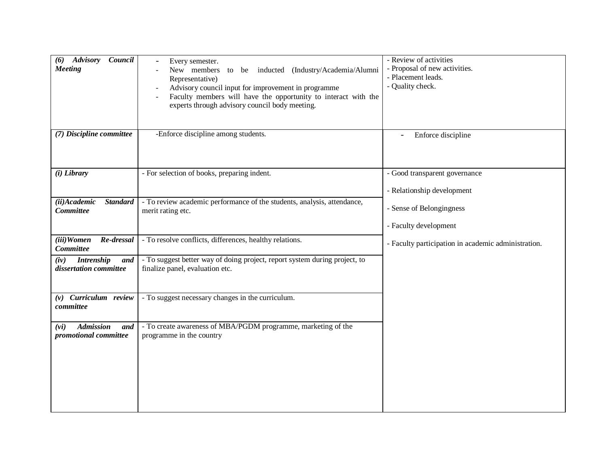| Council<br><b>Advisory</b><br>(6)<br><b>Meeting</b>        | Every semester.<br>New members<br>to be inducted (Industry/Academia/Alumni<br>Representative)<br>Advisory council input for improvement in programme<br>Faculty members will have the opportunity to interact with the<br>experts through advisory council body meeting. | - Review of activities<br>- Proposal of new activities.<br>- Placement leads.<br>- Quality check. |
|------------------------------------------------------------|--------------------------------------------------------------------------------------------------------------------------------------------------------------------------------------------------------------------------------------------------------------------------|---------------------------------------------------------------------------------------------------|
| (7) Discipline committee                                   | -Enforce discipline among students.                                                                                                                                                                                                                                      | Enforce discipline                                                                                |
| $(i)$ Library                                              | - For selection of books, preparing indent.                                                                                                                                                                                                                              | - Good transparent governance                                                                     |
|                                                            |                                                                                                                                                                                                                                                                          | - Relationship development                                                                        |
| (ii)Academic<br><b>Standard</b><br><b>Committee</b>        | - To review academic performance of the students, analysis, attendance,<br>merit rating etc.                                                                                                                                                                             | - Sense of Belongingness<br>- Faculty development                                                 |
| (iii)Women<br>Re-dressal                                   | - To resolve conflicts, differences, healthy relations.                                                                                                                                                                                                                  |                                                                                                   |
| Committee                                                  |                                                                                                                                                                                                                                                                          | - Faculty participation in academic administration.                                               |
| <b>Intrenship</b><br>(iv)<br>and<br>dissertation committee | - To suggest better way of doing project, report system during project, to<br>finalize panel, evaluation etc.                                                                                                                                                            |                                                                                                   |
| $(v)$ Curriculum review<br>committee                       | - To suggest necessary changes in the curriculum.                                                                                                                                                                                                                        |                                                                                                   |
| <b>Admission</b><br>(vi)<br>and<br>promotional committee   | - To create awareness of MBA/PGDM programme, marketing of the<br>programme in the country                                                                                                                                                                                |                                                                                                   |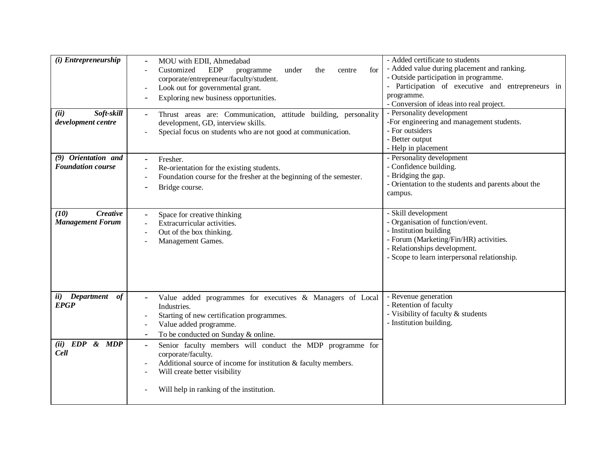| (i) Entrepreneurship<br>Soft-skill<br>(ii)<br>development centre | MOU with EDII, Ahmedabad<br><b>EDP</b><br>Customized<br>for<br>programme<br>under<br>the<br>centre<br>corporate/entrepreneur/faculty/student.<br>Look out for governmental grant.<br>Exploring new business opportunities.<br>Thrust areas are: Communication, attitude building, personality<br>development, GD, interview skills.<br>Special focus on students who are not good at communication. | - Added certificate to students<br>- Added value during placement and ranking.<br>- Outside participation in programme.<br>- Participation of executive and entrepreneurs in<br>programme.<br>- Conversion of ideas into real project.<br>- Personality development<br>-For engineering and management students.<br>- For outsiders<br>- Better output<br>- Help in placement |
|------------------------------------------------------------------|-----------------------------------------------------------------------------------------------------------------------------------------------------------------------------------------------------------------------------------------------------------------------------------------------------------------------------------------------------------------------------------------------------|-------------------------------------------------------------------------------------------------------------------------------------------------------------------------------------------------------------------------------------------------------------------------------------------------------------------------------------------------------------------------------|
| (9) Orientation and<br><b>Foundation course</b>                  | Fresher.<br>Re-orientation for the existing students.<br>Foundation course for the fresher at the beginning of the semester.<br>Bridge course.                                                                                                                                                                                                                                                      | - Personality development<br>- Confidence building.<br>- Bridging the gap.<br>- Orientation to the students and parents about the<br>campus.                                                                                                                                                                                                                                  |
| <b>Creative</b><br>(10)<br><b>Management Forum</b>               | Space for creative thinking<br>Extracurricular activities.<br>Out of the box thinking.<br>Management Games.                                                                                                                                                                                                                                                                                         | - Skill development<br>- Organisation of function/event.<br>- Institution building<br>- Forum (Marketing/Fin/HR) activities.<br>- Relationships development.<br>- Scope to learn interpersonal relationship.                                                                                                                                                                  |
| of<br>ii)<br><b>Department</b><br><b>EPGP</b>                    | Value added programmes for executives & Managers of Local<br>Industries.<br>Starting of new certification programmes.<br>Value added programme.<br>To be conducted on Sunday & online.                                                                                                                                                                                                              | - Revenue generation<br>- Retention of faculty<br>- Visibility of faculty & students<br>- Institution building.                                                                                                                                                                                                                                                               |
| $(ii)$ $EDP$<br>&MDP<br><b>Cell</b>                              | Senior faculty members will conduct the MDP programme for<br>$\blacksquare$<br>corporate/faculty.<br>Additional source of income for institution & faculty members.<br>Will create better visibility<br>Will help in ranking of the institution.                                                                                                                                                    |                                                                                                                                                                                                                                                                                                                                                                               |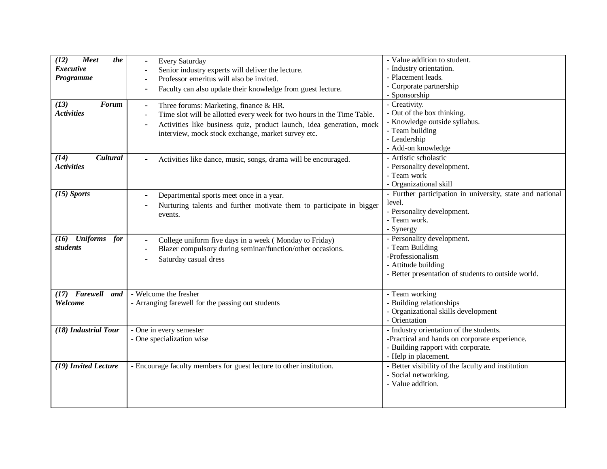| Meet<br>the<br>(12)<br><b>Executive</b><br>Programme<br>(13)<br><b>Forum</b><br><b>Activities</b> | Every Saturday<br>Senior industry experts will deliver the lecture.<br>Professor emeritus will also be invited.<br>Faculty can also update their knowledge from guest lecture.<br>Three forums: Marketing, finance & HR.<br>Time slot will be allotted every week for two hours in the Time Table.<br>Activities like business quiz, product launch, idea generation, mock<br>interview, mock stock exchange, market survey etc. | - Value addition to student.<br>- Industry orientation.<br>- Placement leads.<br>- Corporate partnership<br>- Sponsorship<br>- Creativity.<br>- Out of the box thinking.<br>- Knowledge outside syllabus.<br>- Team building<br>- Leadership<br>- Add-on knowledge |
|---------------------------------------------------------------------------------------------------|----------------------------------------------------------------------------------------------------------------------------------------------------------------------------------------------------------------------------------------------------------------------------------------------------------------------------------------------------------------------------------------------------------------------------------|--------------------------------------------------------------------------------------------------------------------------------------------------------------------------------------------------------------------------------------------------------------------|
| (14)<br>Cultural<br><b>Activities</b>                                                             | Activities like dance, music, songs, drama will be encouraged.                                                                                                                                                                                                                                                                                                                                                                   | - Artistic scholastic<br>- Personality development.<br>- Team work<br>- Organizational skill                                                                                                                                                                       |
| $(15)$ Sports                                                                                     | Departmental sports meet once in a year.<br>Nurturing talents and further motivate them to participate in bigger<br>events.                                                                                                                                                                                                                                                                                                      | - Further participation in university, state and national<br>level.<br>- Personality development.<br>- Team work.<br>- Synergy                                                                                                                                     |
| (16) Uniforms<br>for<br>students                                                                  | College uniform five days in a week (Monday to Friday)<br>Blazer compulsory during seminar/function/other occasions.<br>Saturday casual dress                                                                                                                                                                                                                                                                                    | - Personality development.<br>- Team Building<br>-Professionalism<br>- Attitude building<br>- Better presentation of students to outside world.                                                                                                                    |
| (17) Farewell<br>and<br>Welcome                                                                   | - Welcome the fresher<br>- Arranging farewell for the passing out students                                                                                                                                                                                                                                                                                                                                                       | - Team working<br>- Building relationships<br>- Organizational skills development<br>- Orientation                                                                                                                                                                 |
| (18) Industrial Tour                                                                              | - One in every semester<br>- One specialization wise                                                                                                                                                                                                                                                                                                                                                                             | - Industry orientation of the students.<br>-Practical and hands on corporate experience.<br>- Building rapport with corporate.<br>- Help in placement.                                                                                                             |
| (19) Invited Lecture                                                                              | - Encourage faculty members for guest lecture to other institution.                                                                                                                                                                                                                                                                                                                                                              | - Better visibility of the faculty and institution<br>- Social networking.<br>- Value addition.                                                                                                                                                                    |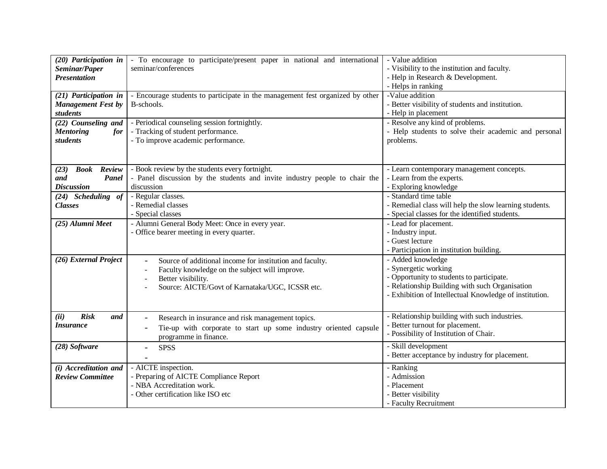| (20) Participation in<br>Seminar/Paper<br><b>Presentation</b><br>(21) Participation in<br><b>Management Fest by</b><br>students<br>(22) Counseling and<br><b>Mentoring</b><br>for<br>students | - To encourage to participate/present paper in national and international<br>seminar/conferences<br>- Encourage students to participate in the management fest organized by other<br>B-schools.<br>- Periodical counseling session fortnightly.<br>- Tracking of student performance.<br>- To improve academic performance. | - Value addition<br>- Visibility to the institution and faculty.<br>- Help in Research & Development.<br>- Helps in ranking<br>-Value addition<br>- Better visibility of students and institution.<br>- Help in placement<br>- Resolve any kind of problems.<br>- Help students to solve their academic and personal<br>problems. |
|-----------------------------------------------------------------------------------------------------------------------------------------------------------------------------------------------|-----------------------------------------------------------------------------------------------------------------------------------------------------------------------------------------------------------------------------------------------------------------------------------------------------------------------------|-----------------------------------------------------------------------------------------------------------------------------------------------------------------------------------------------------------------------------------------------------------------------------------------------------------------------------------|
| (23)<br><b>Book</b> Review<br>and<br>Panel<br><b>Discussion</b>                                                                                                                               | - Book review by the students every fortnight.<br>- Panel discussion by the students and invite industry people to chair the<br>discussion                                                                                                                                                                                  | - Learn contemporary management concepts.<br>- Learn from the experts.<br>- Exploring knowledge                                                                                                                                                                                                                                   |
| (24) Scheduling of<br><b>Classes</b>                                                                                                                                                          | - Regular classes.<br>- Remedial classes<br>- Special classes                                                                                                                                                                                                                                                               | - Standard time table<br>- Remedial class will help the slow learning students.<br>- Special classes for the identified students.                                                                                                                                                                                                 |
| (25) Alumni Meet                                                                                                                                                                              | - Alumni General Body Meet: Once in every year.<br>- Office bearer meeting in every quarter.                                                                                                                                                                                                                                | - Lead for placement.<br>- Industry input.<br>- Guest lecture<br>- Participation in institution building.                                                                                                                                                                                                                         |
| (26) External Project                                                                                                                                                                         | Source of additional income for institution and faculty.<br>Faculty knowledge on the subject will improve.<br>Better visibility.<br>Source: AICTE/Govt of Karnataka/UGC, ICSSR etc.                                                                                                                                         | - Added knowledge<br>- Synergetic working<br>- Opportunity to students to participate.<br>- Relationship Building with such Organisation<br>- Exhibition of Intellectual Knowledge of institution.                                                                                                                                |
| <b>Risk</b><br>(ii)<br>and<br><i><b>Insurance</b></i>                                                                                                                                         | Research in insurance and risk management topics.<br>Tie-up with corporate to start up some industry oriented capsule<br>programme in finance.                                                                                                                                                                              | - Relationship building with such industries.<br>- Better turnout for placement.<br>- Possibility of Institution of Chair.                                                                                                                                                                                                        |
| (28) Software                                                                                                                                                                                 | <b>SPSS</b>                                                                                                                                                                                                                                                                                                                 | - Skill development<br>- Better acceptance by industry for placement.                                                                                                                                                                                                                                                             |
| $(i)$ Accreditation and<br><b>Review Committee</b>                                                                                                                                            | - AICTE inspection.<br>- Preparing of AICTE Compliance Report<br>- NBA Accreditation work.<br>- Other certification like ISO etc                                                                                                                                                                                            | - Ranking<br>- Admission<br>- Placement<br>- Better visibility<br>- Faculty Recruitment                                                                                                                                                                                                                                           |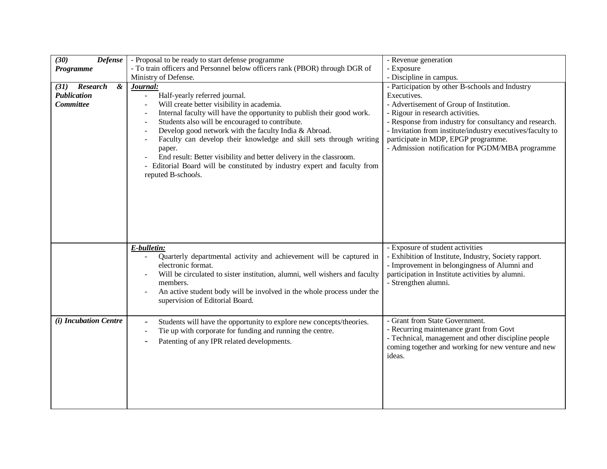| (30)<br><b>Defense</b><br>Programme<br>$\boldsymbol{\&}$<br><b>Research</b><br>(31)<br>Publication<br>Committee | - Proposal to be ready to start defense programme<br>- To train officers and Personnel below officers rank (PBOR) through DGR of<br>Ministry of Defense.<br>Journal:<br>Half-yearly referred journal.<br>Will create better visibility in academia.<br>Internal faculty will have the opportunity to publish their good work.<br>Students also will be encouraged to contribute.<br>Develop good network with the faculty India & Abroad.<br>Faculty can develop their knowledge and skill sets through writing<br>paper.<br>End result: Better visibility and better delivery in the classroom.<br>- Editorial Board will be constituted by industry expert and faculty from<br>reputed B-schools. | - Revenue generation<br>- Exposure<br>- Discipline in campus.<br>- Participation by other B-schools and Industry<br>Executives.<br>- Advertisement of Group of Institution.<br>- Rigour in research activities.<br>- Response from industry for consultancy and research.<br>- Invitation from institute/industry executives/faculty to<br>participate in MDP, EPGP programme.<br>- Admission notification for PGDM/MBA programme |
|-----------------------------------------------------------------------------------------------------------------|-----------------------------------------------------------------------------------------------------------------------------------------------------------------------------------------------------------------------------------------------------------------------------------------------------------------------------------------------------------------------------------------------------------------------------------------------------------------------------------------------------------------------------------------------------------------------------------------------------------------------------------------------------------------------------------------------------|-----------------------------------------------------------------------------------------------------------------------------------------------------------------------------------------------------------------------------------------------------------------------------------------------------------------------------------------------------------------------------------------------------------------------------------|
|                                                                                                                 | E-bulletin:<br>Quarterly departmental activity and achievement will be captured in<br>electronic format.<br>Will be circulated to sister institution, alumni, well wishers and faculty<br>members.<br>An active student body will be involved in the whole process under the<br>supervision of Editorial Board.                                                                                                                                                                                                                                                                                                                                                                                     | - Exposure of student activities<br>- Exhibition of Institute, Industry, Society rapport.<br>- Improvement in belongingness of Alumni and<br>participation in Institute activities by alumni.<br>- Strengthen alumni.                                                                                                                                                                                                             |
| (i) Incubation Centre                                                                                           | Students will have the opportunity to explore new concepts/theories.<br>Tie up with corporate for funding and running the centre.<br>Patenting of any IPR related developments.                                                                                                                                                                                                                                                                                                                                                                                                                                                                                                                     | - Grant from State Government.<br>- Recurring maintenance grant from Govt<br>- Technical, management and other discipline people<br>coming together and working for new venture and new<br>ideas.                                                                                                                                                                                                                                 |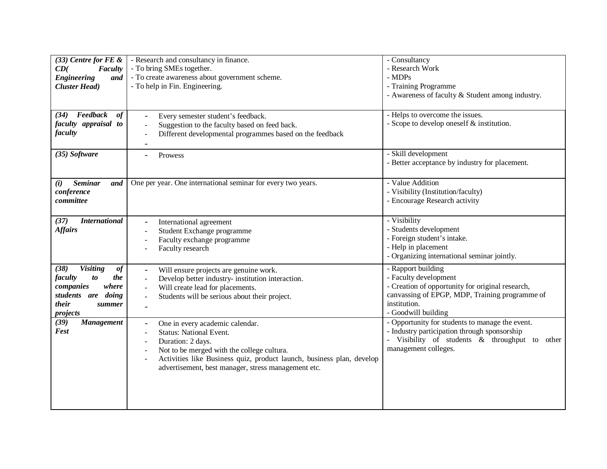| $(33)$ Centre for FE &<br>CD(<br>Faculty<br><b>Engineering</b><br>and<br><b>Cluster Head</b> )<br>Feedback<br>of<br>(34)                  | - Research and consultancy in finance.<br>- To bring SMEs together.<br>- To create awareness about government scheme.<br>- To help in Fin. Engineering.<br>Every semester student's feedback.                                                                        | - Consultancy<br>- Research Work<br>- MDPs<br>- Training Programme<br>- Awareness of faculty & Student among industry.<br>- Helps to overcome the issues.                                |
|-------------------------------------------------------------------------------------------------------------------------------------------|----------------------------------------------------------------------------------------------------------------------------------------------------------------------------------------------------------------------------------------------------------------------|------------------------------------------------------------------------------------------------------------------------------------------------------------------------------------------|
| faculty appraisal to<br>faculty                                                                                                           | Suggestion to the faculty based on feed back.<br>Different developmental programmes based on the feedback                                                                                                                                                            | - Scope to develop oneself $&$ institution.                                                                                                                                              |
| (35) Software                                                                                                                             | Prowess                                                                                                                                                                                                                                                              | - Skill development<br>- Better acceptance by industry for placement.                                                                                                                    |
| <b>Seminar</b><br>(i)<br>and<br>conference<br>committee                                                                                   | One per year. One international seminar for every two years.                                                                                                                                                                                                         | - Value Addition<br>- Visibility (Institution/faculty)<br>- Encourage Research activity                                                                                                  |
| (37)<br><b>International</b><br><b>Affairs</b>                                                                                            | International agreement<br>Student Exchange programme<br>Faculty exchange programme<br>Faculty research                                                                                                                                                              | - Visibility<br>- Students development<br>- Foreign student's intake.<br>- Help in placement<br>- Organizing international seminar jointly.                                              |
| <b>Visiting</b><br>(38)<br>$\it of$<br>faculty<br>the<br>to<br>where<br>companies<br>students are<br>doing<br>their<br>summer<br>projects | Will ensure projects are genuine work.<br>Develop better industry- institution interaction.<br>Will create lead for placements.<br>Students will be serious about their project.                                                                                     | - Rapport building<br>- Faculty development<br>- Creation of opportunity for original research,<br>canvassing of EPGP, MDP, Training programme of<br>institution.<br>- Goodwill building |
| (39)<br><b>Management</b><br>Fest                                                                                                         | One in every academic calendar.<br><b>Status: National Event.</b><br>Duration: 2 days.<br>Not to be merged with the college cultura.<br>Activities like Business quiz, product launch, business plan, develop<br>advertisement, best manager, stress management etc. | - Opportunity for students to manage the event.<br>- Industry participation through sponsorship<br>- Visibility of students & throughput to other<br>management colleges.                |